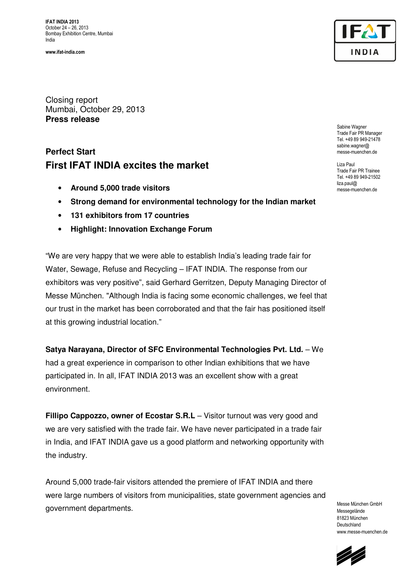**IFAT INDIA 2013** October 24 – 26, 2013 Bombay Exhibition Centre, Mumbai India

**www.ifat-india.com** 



Closing report Mumbai, October 29, 2013 **Press release** 

# **Perfect Start First IFAT INDIA excites the market**

- **Around 5,000 trade visitors**
- **Strong demand for environmental technology for the Indian market**
- **131 exhibitors from 17 countries**
- **Highlight: Innovation Exchange Forum**

"We are very happy that we were able to establish India's leading trade fair for Water, Sewage, Refuse and Recycling – IFAT INDIA. The response from our exhibitors was very positive", said Gerhard Gerritzen, Deputy Managing Director of Messe München. "Although India is facing some economic challenges, we feel that our trust in the market has been corroborated and that the fair has positioned itself at this growing industrial location."

## **Satya Narayana, Director of SFC Environmental Technologies Pvt. Ltd.** - We

had a great experience in comparison to other Indian exhibitions that we have participated in. In all, IFAT INDIA 2013 was an excellent show with a great environment.

**Fillipo Cappozzo, owner of Ecostar S.R.L** – Visitor turnout was very good and we are very satisfied with the trade fair. We have never participated in a trade fair in India, and IFAT INDIA gave us a good platform and networking opportunity with the industry.

Around 5,000 trade-fair visitors attended the premiere of IFAT INDIA and there were large numbers of visitors from municipalities, state government agencies and government departments.

Messe München GmbH Messegelände 81823 München Deutschland www.messe-muenchen.de



Sabine Wagner Trade Fair PR Manager Tel. +49 89 949-21478 sabine.wagner@ messe-muenchen.de

Liza Paul Trade Fair PR Trainee Tel. +49 89 949-21502 liza.paul@ messe-muenchen.de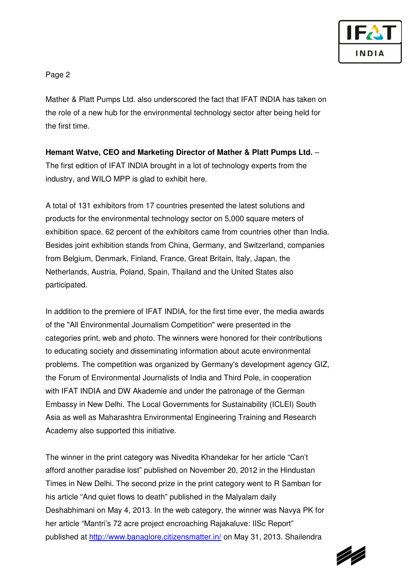

## Page 2

Mather & Platt Pumps Ltd. also underscored the fact that IFAT INDIA has taken on the role of a new hub for the environmental technology sector after being held for the first time.

## **Hemant Watve, CEO and Marketing Director of Mather & Platt Pumps Ltd.** –

The first edition of IFAT INDIA brought in a lot of technology experts from the industry, and WILO MPP is glad to exhibit here.

A total of 131 exhibitors from 17 countries presented the latest solutions and products for the environmental technology sector on 5,000 square meters of exhibition space. 62 percent of the exhibitors came from countries other than India. Besides joint exhibition stands from China, Germany, and Switzerland, companies from Belgium, Denmark, Finland, France, Great Britain, Italy, Japan, the Netherlands, Austria, Poland, Spain, Thailand and the United States also participated.

In addition to the premiere of IFAT INDIA, for the first time ever, the media awards of the "All Environmental Journalism Competition" were presented in the categories print, web and photo. The winners were honored for their contributions to educating society and disseminating information about acute environmental problems. The competition was organized by Germany's development agency GIZ, the Forum of Environmental Journalists of India and Third Pole, in cooperation with IFAT INDIA and DW Akademie and under the patronage of the German Embassy in New Delhi. The Local Governments for Sustainability (ICLEI) South Asia as well as Maharashtra Environmental Engineering Training and Research Academy also supported this initiative.

The winner in the print category was Nivedita Khandekar for her article "Can't afford another paradise lost" published on November 20, 2012 in the Hindustan Times in New Delhi. The second prize in the print category went to R Samban for his article "And quiet flows to death" published in the Malyalam daily Deshabhimani on May 4, 2013. In the web category, the winner was Navya PK for her article "Mantri's 72 acre project encroaching Rajakaluve: IISc Report" published at http://www.banaglore.citizensmatter.in/ on May 31, 2013. Shailendra

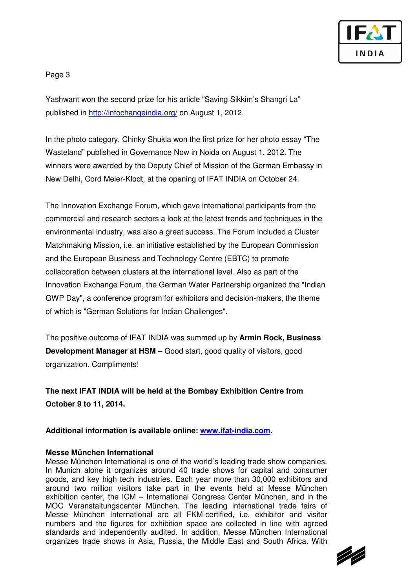

### Page 3

Yashwant won the second prize for his article "Saving Sikkim's Shangri La" published in http://infochangeindia.org/ on August 1, 2012.

In the photo category, Chinky Shukla won the first prize for her photo essay "The Wasteland" published in Governance Now in Noida on August 1, 2012. The winners were awarded by the Deputy Chief of Mission of the German Embassy in New Delhi, Cord Meier-Klodt, at the opening of IFAT INDIA on October 24.

The Innovation Exchange Forum, which gave international participants from the commercial and research sectors a look at the latest trends and techniques in the environmental industry, was also a great success. The Forum included a Cluster Matchmaking Mission, i.e. an initiative established by the European Commission and the European Business and Technology Centre (EBTC) to promote collaboration between clusters at the international level. Also as part of the Innovation Exchange Forum, the German Water Partnership organized the "Indian GWP Day", a conference program for exhibitors and decision-makers, the theme of which is "German Solutions for Indian Challenges".

The positive outcome of IFAT INDIA was summed up by **Armin Rock, Business Development Manager at HSM** – Good start, good quality of visitors, good organization. Compliments!

**The next IFAT INDIA will be held at the Bombay Exhibition Centre from October 9 to 11, 2014.** 

**Additional information is available online: www.ifat-india.com.** 

#### **Messe München International**

Messe München International is one of the world´s leading trade show companies. In Munich alone it organizes around 40 trade shows for capital and consumer goods, and key high tech industries. Each year more than 30,000 exhibitors and around two million visitors take part in the events held at Messe München exhibition center, the ICM – International Congress Center München, and in the MOC Veranstaltungscenter München. The leading international trade fairs of Messe München International are all FKM-certified, i.e. exhibitor and visitor numbers and the figures for exhibition space are collected in line with agreed standards and independently audited. In addition, Messe München International organizes trade shows in Asia, Russia, the Middle East and South Africa. With